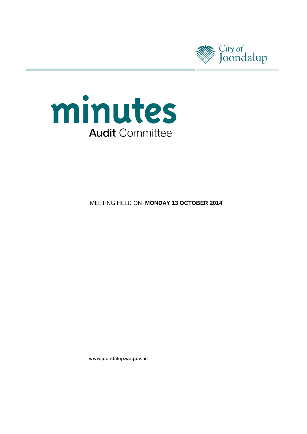



**MEETING HELD ON MONDAY 13 OCTOBER 2014** 

www.joondalup.wa.gov.au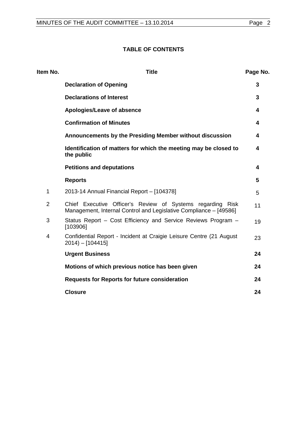# **TABLE OF CONTENTS**

| Item No.       | <b>Title</b>                                                                                                                    | Page No. |
|----------------|---------------------------------------------------------------------------------------------------------------------------------|----------|
|                | <b>Declaration of Opening</b>                                                                                                   | 3        |
|                | <b>Declarations of Interest</b>                                                                                                 | 3        |
|                | Apologies/Leave of absence                                                                                                      | 4        |
|                | <b>Confirmation of Minutes</b>                                                                                                  | 4        |
|                | Announcements by the Presiding Member without discussion                                                                        | 4        |
|                | Identification of matters for which the meeting may be closed to<br>the public                                                  | 4        |
|                | <b>Petitions and deputations</b>                                                                                                | 4        |
|                | <b>Reports</b>                                                                                                                  | 5        |
| 1              | 2013-14 Annual Financial Report - [104378]                                                                                      | 5        |
| $\overline{2}$ | Chief Executive Officer's Review of Systems regarding Risk<br>Management, Internal Control and Legislative Compliance - [49586] | 11       |
| 3              | Status Report - Cost Efficiency and Service Reviews Program -<br>[103906]                                                       | 19       |
| 4              | Confidential Report - Incident at Craigie Leisure Centre (21 August<br>$2014$ – [104415]                                        | 23       |
|                | <b>Urgent Business</b>                                                                                                          | 24       |
|                | Motions of which previous notice has been given                                                                                 | 24       |
|                | <b>Requests for Reports for future consideration</b>                                                                            | 24       |
|                | <b>Closure</b>                                                                                                                  | 24       |
|                |                                                                                                                                 |          |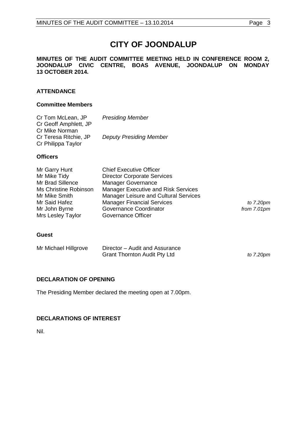# **CITY OF JOONDALUP**

#### **MINUTES OF THE AUDIT COMMITTEE MEETING HELD IN CONFERENCE ROOM 2, JOONDALUP CIVIC CENTRE, BOAS AVENUE, JOONDALUP ON MONDAY 13 OCTOBER 2014.**

## **ATTENDANCE**

#### **Committee Members**

| Cr Tom McLean, JP     | <b>Presiding Member</b>        |
|-----------------------|--------------------------------|
| Cr Geoff Amphlett, JP |                                |
| Cr Mike Norman        |                                |
| Cr Teresa Ritchie, JP | <b>Deputy Presiding Member</b> |
| Cr Philippa Taylor    |                                |

## **Officers**

| Mr Garry Hunt         | <b>Chief Executive Officer</b>               |             |
|-----------------------|----------------------------------------------|-------------|
| Mr Mike Tidy          | <b>Director Corporate Services</b>           |             |
| Mr Brad Sillence      | <b>Manager Governance</b>                    |             |
| Ms Christine Robinson | <b>Manager Executive and Risk Services</b>   |             |
| Mr Mike Smith         | <b>Manager Leisure and Cultural Services</b> |             |
| Mr Said Hafez         | <b>Manager Financial Services</b>            | to 7.20pm   |
| Mr John Byrne         | Governance Coordinator                       | from 7.01pm |
| Mrs Lesley Taylor     | Governance Officer                           |             |

from 7.01pm

## **Guest**

| Mr Michael Hillgrove | Director – Audit and Assurance      |           |
|----------------------|-------------------------------------|-----------|
|                      | <b>Grant Thornton Audit Pty Ltd</b> | to 7.20pm |

## <span id="page-2-0"></span>**DECLARATION OF OPENING**

The Presiding Member declared the meeting open at 7.00pm.

## <span id="page-2-1"></span>**DECLARATIONS OF INTEREST**

Nil.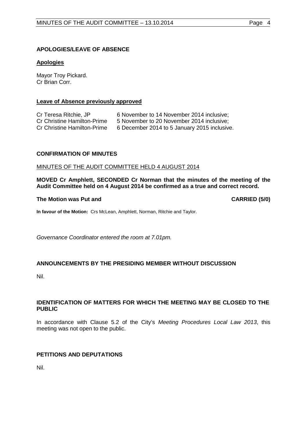## <span id="page-3-0"></span>**APOLOGIES/LEAVE OF ABSENCE**

#### **Apologies**

Mayor Troy Pickard. Cr Brian Corr.

#### **Leave of Absence previously approved**

| Cr Teresa Ritchie, JP              | 6 November to 14 November 2014 inclusive:    |
|------------------------------------|----------------------------------------------|
| Cr Christine Hamilton-Prime        | 5 November to 20 November 2014 inclusive;    |
| <b>Cr Christine Hamilton-Prime</b> | 6 December 2014 to 5 January 2015 inclusive. |

#### <span id="page-3-1"></span>**CONFIRMATION OF MINUTES**

#### MINUTES OF THE AUDIT COMMITTEE HELD 4 AUGUST 2014

**MOVED Cr Amphlett, SECONDED Cr Norman that the minutes of the meeting of the Audit Committee held on 4 August 2014 be confirmed as a true and correct record.**

#### **The Motion was Put and CARRIED (5/0)**

**In favour of the Motion:** Crs McLean, Amphlett, Norman, Ritchie and Taylor.

*Governance Coordinator entered the room at 7.01pm.*

## <span id="page-3-2"></span>**ANNOUNCEMENTS BY THE PRESIDING MEMBER WITHOUT DISCUSSION**

Nil.

#### <span id="page-3-3"></span>**IDENTIFICATION OF MATTERS FOR WHICH THE MEETING MAY BE CLOSED TO THE PUBLIC**

In accordance with Clause 5.2 of the City's *Meeting Procedures Local Law 2013*, this meeting was not open to the public.

## <span id="page-3-4"></span>**PETITIONS AND DEPUTATIONS**

Nil.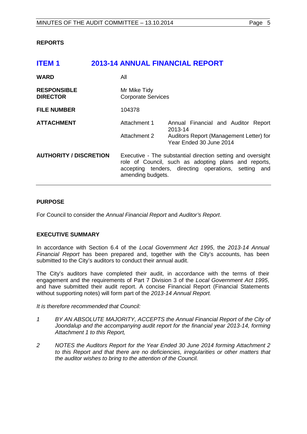## <span id="page-4-0"></span>**REPORTS**

<span id="page-4-1"></span>

| <b>ITEM1</b>                          |                                                                                                                                                                                                  | <b>2013-14 ANNUAL FINANCIAL REPORT</b>                             |
|---------------------------------------|--------------------------------------------------------------------------------------------------------------------------------------------------------------------------------------------------|--------------------------------------------------------------------|
| <b>WARD</b>                           | All                                                                                                                                                                                              |                                                                    |
| <b>RESPONSIBLE</b><br><b>DIRECTOR</b> | Mr Mike Tidy<br><b>Corporate Services</b>                                                                                                                                                        |                                                                    |
| <b>FILE NUMBER</b>                    | 104378                                                                                                                                                                                           |                                                                    |
| <b>ATTACHMENT</b>                     | Attachment 1                                                                                                                                                                                     | Annual Financial and Auditor Report<br>2013-14                     |
|                                       | Attachment 2                                                                                                                                                                                     | Auditors Report (Management Letter) for<br>Year Ended 30 June 2014 |
| <b>AUTHORITY / DISCRETION</b>         | Executive - The substantial direction setting and oversight<br>role of Council, such as adopting plans and reports,<br>accepting tenders, directing operations, setting and<br>amending budgets. |                                                                    |

## **PURPOSE**

For Council to consider the *Annual Financial Report* and *Auditor's Report*.

## **EXECUTIVE SUMMARY**

In accordance with Section 6.4 of the *Local Government Act 1995*, the *2013-14 Annual Financial Report* has been prepared and, together with the City's accounts, has been submitted to the City's auditors to conduct their annual audit.

The City's auditors have completed their audit, in accordance with the terms of their engagement and the requirements of Part 7 Division 3 of the *Local Government Act 1995*, and have submitted their audit report. A concise Financial Report (Financial Statements without supporting notes) will form part of the *2013-14 Annual Report.* 

*It is therefore recommended that Council:*

- *1 BY AN ABSOLUTE MAJORITY, ACCEPTS the Annual Financial Report of the City of*  Joondalup and the accompanying audit report for the financial year 2013-14, forming *Attachment 1 to this Report,*
- *2 NOTES the Auditors Report for the Year Ended 30 June 2014 forming Attachment 2 to this Report and that there are no deficiencies, irregularities or other matters that the auditor wishes to bring to the attention of the Council.*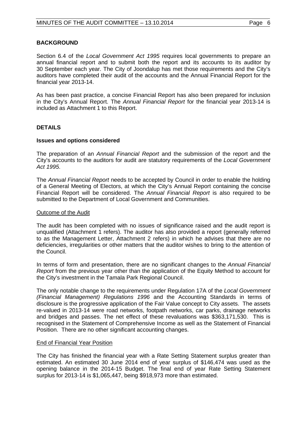Section 6.4 of the *Local Government Act 1995* requires local governments to prepare an annual financial report and to submit both the report and its accounts to its auditor by 30 September each year. The City of Joondalup has met those requirements and the City's auditors have completed their audit of the accounts and the Annual Financial Report for the financial year 2013-14.

As has been past practice, a concise Financial Report has also been prepared for inclusion in the City's Annual Report. The *Annual Financial Report* for the financial year 2013-14 is included as Attachment 1 to this Report.

#### **DETAILS**

#### **Issues and options considered**

The preparation of an *Annual Financial Report* and the submission of the report and the City's accounts to the auditors for audit are statutory requirements of the *Local Government Act 1995*.

The *Annual Financial Report* needs to be accepted by Council in order to enable the holding of a General Meeting of Electors, at which the City's Annual Report containing the concise Financial Report will be considered. The *Annual Financial Report* is also required to be submitted to the Department of Local Government and Communities.

#### Outcome of the Audit

The audit has been completed with no issues of significance raised and the audit report is unqualified (Attachment 1 refers). The auditor has also provided a report (generally referred to as the Management Letter, Attachment 2 refers) in which he advises that there are no deficiencies, irregularities or other matters that the auditor wishes to bring to the attention of the Council.

In terms of form and presentation, there are no significant changes to the *Annual Financial Report* from the previous year other than the application of the Equity Method to account for the City's investment in the Tamala Park Regional Council.

The only notable change to the requirements under Regulation 17A of the *Local Government (Financial Management) Regulations 1996* and the Accounting Standards in terms of disclosure is the progressive application of the Fair Value concept to City assets. The assets re-valued in 2013-14 were road networks, footpath networks, car parks, drainage networks and bridges and passes. The net effect of these revaluations was \$363,171,530. This is recognised in the Statement of Comprehensive Income as well as the Statement of Financial Position. There are no other significant accounting changes.

#### End of Financial Year Position

The City has finished the financial year with a Rate Setting Statement surplus greater than estimated. An estimated 30 June 2014 end of year surplus of \$146,474 was used as the opening balance in the 2014-15 Budget. The final end of year Rate Setting Statement surplus for 2013-14 is \$1,065,447, being \$918,973 more than estimated.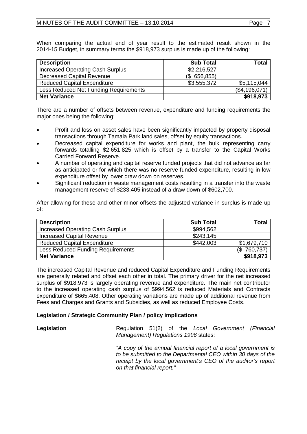When comparing the actual end of year result to the estimated result shown in the 2014-15 Budget, in summary terms the \$918,973 surplus is made up of the following:

| <b>Description</b>                      | <b>Sub Total</b> | Total         |
|-----------------------------------------|------------------|---------------|
| <b>Increased Operating Cash Surplus</b> | \$2,216,527      |               |
| <b>Decreased Capital Revenue</b>        | (\$656, 855)     |               |
| <b>Reduced Capital Expenditure</b>      | \$3,555,372      | \$5,115,044   |
| Less Reduced Net Funding Requirements   |                  | (\$4,196,071) |
| <b>Net Variance</b>                     |                  | \$918,973     |

There are a number of offsets between revenue, expenditure and funding requirements the major ones being the following:

- Profit and loss on asset sales have been significantly impacted by property disposal transactions through Tamala Park land sales, offset by equity transactions.
- Decreased capital expenditure for works and plant, the bulk representing carry forwards totalling \$2,651,825 which is offset by a transfer to the Capital Works Carried Forward Reserve.
- A number of operating and capital reserve funded projects that did not advance as far as anticipated or for which there was no reserve funded expenditure, resulting in low expenditure offset by lower draw down on reserves.
- Significant reduction in waste management costs resulting in a transfer into the waste management reserve of \$233,405 instead of a draw down of \$602,700.

After allowing for these and other minor offsets the adjusted variance in surplus is made up of:

| <b>Description</b>                      | <b>Sub Total</b> | Total           |
|-----------------------------------------|------------------|-----------------|
| <b>Increased Operating Cash Surplus</b> | \$994,562        |                 |
| <b>Increased Capital Revenue</b>        | \$243,145        |                 |
| <b>Reduced Capital Expenditure</b>      | \$442,003        | \$1,679,710     |
| Less Reduced Funding Requirements       |                  | 760,737)<br>(\$ |
| <b>Net Variance</b>                     |                  | \$918,973       |

The increased Capital Revenue and reduced Capital Expenditure and Funding Requirements are generally related and offset each other in total. The primary driver for the net increased surplus of \$918,973 is largely operating revenue and expenditure. The main net contributor to the increased operating cash surplus of \$994,562 is reduced Materials and Contracts expenditure of \$665,408. Other operating variations are made up of additional revenue from Fees and Charges and Grants and Subsidies, as well as reduced Employee Costs.

## **Legislation / Strategic Community Plan / policy implications**

**Legislation Regulation 51(2) of the** *Local Government (Financial* **and** *Regulation* **51(2) of the** *Local Government (Financial Management) Regulations 1996* states:

> *"A copy of the annual financial report of a local government is to be submitted to the Departmental CEO within 30 days of the receipt by the local government's CEO of the auditor's report on that financial report."*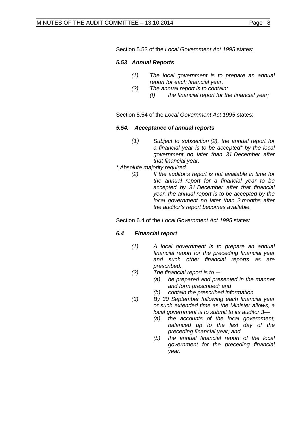Section 5.53 of the *Local Government Act 1995* states:

## *5.53 Annual Reports*

- *(1) The local government is to prepare an annual report for each financial year.*
- *(2) The annual report is to contain: (f) the financial report for the financial year;*

Section 5.54 of the *Local Government Act 1995* states:

## *5.54. Acceptance of annual reports*

- *(1) Subject to subsection (2), the annual report for a financial year is to be accepted\* by the local government no later than 31 December after that financial year.*
- *\* Absolute majority required.*
	- *(2) If the auditor's report is not available in time for the annual report for a financial year to be accepted by 31 December after that financial year, the annual report is to be accepted by the local government no later than 2 months after the auditor's report becomes available.*

Section 6.4 of the *Local Government Act 1995* states:

## *6.4 Financial report*

- *(1) A local government is to prepare an annual financial report for the preceding financial year and such other financial reports as are prescribed.*
- *(2) The financial report is to —*
	- *(a) be prepared and presented in the manner and form prescribed; and*
	- *(b) contain the prescribed information.*
- *(3) By 30 September following each financial year or such extended time as the Minister allows, a local government is to submit to its auditor 3—*
	- *(a) the accounts of the local government, balanced up to the last day of the preceding financial year; and*
	- *(b) the annual financial report of the local government for the preceding financial year.*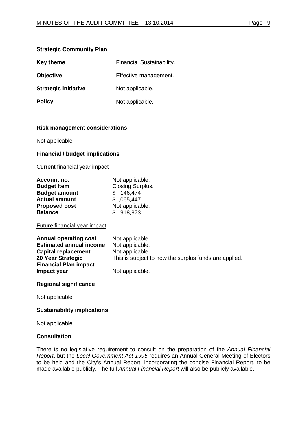## **Strategic Community Plan**

| <b>Key theme</b>            | Financial Sustainability. |
|-----------------------------|---------------------------|
| <b>Objective</b>            | Effective management.     |
| <b>Strategic initiative</b> | Not applicable.           |
| <b>Policy</b>               | Not applicable.           |

#### **Risk management considerations**

Not applicable.

#### **Financial / budget implications**

Current financial year impact

| Account no.          | Not applicable.         |
|----------------------|-------------------------|
| <b>Budget Item</b>   | <b>Closing Surplus.</b> |
| <b>Budget amount</b> | \$146,474               |
| <b>Actual amount</b> | \$1,065,447             |
| <b>Proposed cost</b> | Not applicable.         |
| <b>Balance</b>       | \$918,973               |

#### Future financial year impact

| <b>Annual operating cost</b>   | Not applicable.                                       |
|--------------------------------|-------------------------------------------------------|
| <b>Estimated annual income</b> | Not applicable.                                       |
| <b>Capital replacement</b>     | Not applicable.                                       |
| 20 Year Strategic              | This is subject to how the surplus funds are applied. |
| <b>Financial Plan impact</b>   |                                                       |
| Impact year                    | Not applicable.                                       |

## **Regional significance**

Not applicable.

## **Sustainability implications**

Not applicable.

## **Consultation**

There is no legislative requirement to consult on the preparation of the *Annual Financial Report*, but the *Local Government Act 1995* requires an Annual General Meeting of Electors to be held and the City's Annual Report, incorporating the concise Financial Report, to be made available publicly. The full *Annual Financial Report* will also be publicly available.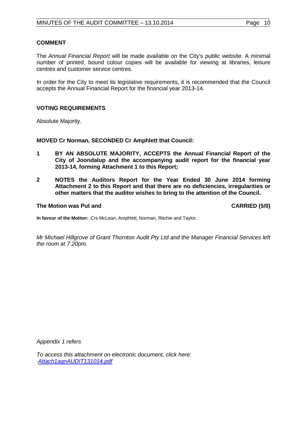#### **COMMENT**

The *Annual Financial Report* will be made available on the City's public website. A minimal number of printed, bound colour copies will be available for viewing at libraries, leisure centres and customer service centres.

In order for the City to meet its legislative requirements, it is recommended that the Council accepts the Annual Financial Report for the financial year 2013-14.

#### **VOTING REQUIREMENTS**

Absolute Majority.

**MOVED Cr Norman, SECONDED Cr Amphlett that Council:** 

- **1 BY AN ABSOLUTE MAJORITY, ACCEPTS the Annual Financial Report of the City of Joondalup and the accompanying audit report for the financial year 2013-14, forming Attachment 1 to this Report;**
- **2 NOTES the Auditors Report for the Year Ended 30 June 2014 forming Attachment 2 to this Report and that there are no deficiencies, irregularities or other matters that the auditor wishes to bring to the attention of the Council.**

#### **The Motion was Put and CARRIED (5/0)**

**In favour of the Motion:** Crs McLean, Amphlett, Norman, Ritchie and Taylor.

*Mr Michael Hillgrove of Grant Thornton Audit Pty Ltd and the Manager Financial Services left the room at 7.20pm.*

*Appendix 1 refers*

*[To access this attachment on electronic document, click here:](http://www.joondalup.wa.gov.au/files/committees/AUDT/2014/Attach1agnAUDIT131014.pdf) Attach1agnAUDIT131014.pdf*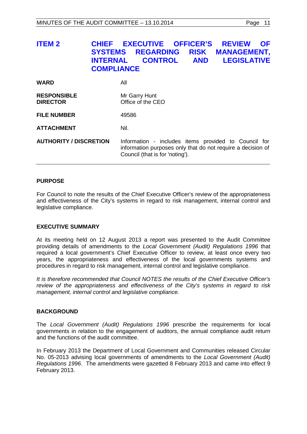# <span id="page-10-0"></span>**ITEM 2 CHIEF EXECUTIVE OFFICER'S REVIEW OF SYSTEMS REGARDING RISK MANAGEMENT, LEGISLATIVE COMPLIANCE**

| <b>WARD</b>                           | All                                                                                                                                                    |
|---------------------------------------|--------------------------------------------------------------------------------------------------------------------------------------------------------|
| <b>RESPONSIBLE</b><br><b>DIRECTOR</b> | Mr Garry Hunt<br>Office of the CEO                                                                                                                     |
| <b>FILE NUMBER</b>                    | 49586                                                                                                                                                  |
| <b>ATTACHMENT</b>                     | Nil.                                                                                                                                                   |
| <b>AUTHORITY / DISCRETION</b>         | Information - includes items provided to Council for<br>information purposes only that do not require a decision of<br>Council (that is for 'noting'). |

## **PURPOSE**

For Council to note the results of the Chief Executive Officer's review of the appropriateness and effectiveness of the City's systems in regard to risk management, internal control and legislative compliance.

## **EXECUTIVE SUMMARY**

At its meeting held on 12 August 2013 a report was presented to the Audit Committee providing details of amendments to the *Local Government (Audit) Regulations 1996* that required a local government's Chief Executive Officer to review, at least once every two years, the appropriateness and effectiveness of the local governments systems and procedures in regard to risk management, internal control and legislative compliance.

*It is therefore recommended that Council NOTES the results of the Chief Executive Officer's review of the appropriateness and effectiveness of the City's systems in regard to risk management, internal control and legislative compliance.*

## **BACKGROUND**

The *Local Government (Audit) Regulations 1996* prescribe the requirements for local governments in relation to the engagement of auditors, the annual compliance audit return and the functions of the audit committee.

In February 2013 the Department of Local Government and Communities released Circular No. 05-2013 advising local governments of amendments to the *Local Government (Audit) Regulations 1996*. The amendments were gazetted 8 February 2013 and came into effect 9 February 2013.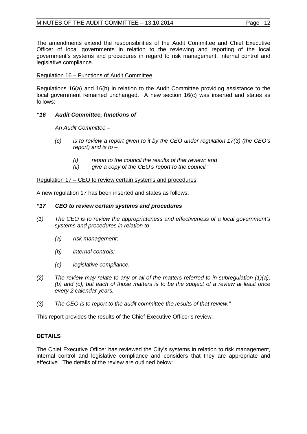The amendments extend the responsibilities of the Audit Committee and Chief Executive Officer of local governments in relation to the reviewing and reporting of the local government's systems and procedures in regard to risk management, internal control and legislative compliance.

## Regulation 16 – Functions of Audit Committee

Regulations 16(a) and 16(b) in relation to the Audit Committee providing assistance to the local government remained unchanged. A new section 16(c) was inserted and states as follows:

## *"16 Audit Committee, functions of*

*An Audit Committee –*

- *(c) is to review a report given to it by the CEO under regulation 17(3) (the CEO's report) and is to –*
	- *(i) report to the council the results of that review; and*
	- *(ii) give a copy of the CEO's report to the council."*

Regulation 17 – CEO to review certain systems and procedures

A new regulation 17 has been inserted and states as follows:

## *"17 CEO to review certain systems and procedures*

- *(1) The CEO is to review the appropriateness and effectiveness of a local government's systems and procedures in relation to –*
	- *(a) risk management;*
	- *(b) internal controls;*
	- *(c) legislative compliance.*
- *(2) The review may relate to any or all of the matters referred to in subregulation (1)(a), (b) and (c), but each of those matters is to be the subject of a review at least once every 2 calendar years.*
- *(3) The CEO is to report to the audit committee the results of that review."*

This report provides the results of the Chief Executive Officer's review.

## **DETAILS**

The Chief Executive Officer has reviewed the City's systems in relation to risk management, internal control and legislative compliance and considers that they are appropriate and effective. The details of the review are outlined below: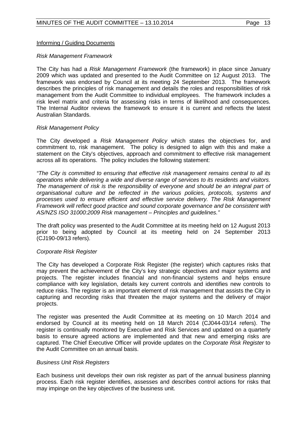## Informing / Guiding Documents

#### *Risk Management Framework*

The City has had a *Risk Management Framework* (the framework) in place since January 2009 which was updated and presented to the Audit Committee on 12 August 2013. The framework was endorsed by Council at its meeting 24 September 2013. The framework describes the principles of risk management and details the roles and responsibilities of risk management from the Audit Committee to individual employees. The framework includes a risk level matrix and criteria for assessing risks in terms of likelihood and consequences. The Internal Auditor reviews the framework to ensure it is current and reflects the latest Australian Standards.

#### *Risk Management Policy*

The City developed a *Risk Management Policy* which states the objectives for, and commitment to, risk management. The policy is designed to align with this and make a statement on the City's objectives, approach and commitment to effective risk management across all its operations. The policy includes the following statement:

*"The City is committed to ensuring that effective risk management remains central to all its operations while delivering a wide and diverse range of services to its residents and visitors.*  The management of risk is the responsibility of everyone and should be an integral part of *organisational culture and be reflected in the various policies, protocols, systems and processes used to ensure efficient and effective service delivery. The Risk Management Framework will reflect good practice and sound corporate governance and be consistent with AS/NZS ISO 31000:2009 Risk management – Principles and guidelines."*

The draft policy was presented to the Audit Committee at its meeting held on 12 August 2013 prior to being adopted by Council at its meeting held on 24 September 2013 (CJ190-09/13 refers).

## *Corporate Risk Register*

The City has developed a Corporate Risk Register (the register) which captures risks that may prevent the achievement of the City's key strategic objectives and major systems and projects. The register includes financial and non-financial systems and helps ensure compliance with key legislation, details key current controls and identifies new controls to reduce risks. The register is an important element of risk management that assists the City in capturing and recording risks that threaten the major systems and the delivery of major projects.

The register was presented the Audit Committee at its meeting on 10 March 2014 and endorsed by Council at its meeting held on 18 March 2014 (CJ044-03/14 refers). The register is continually monitored by Executive and Risk Services and updated on a quarterly basis to ensure agreed actions are implemented and that new and emerging risks are captured. The Chief Executive Officer will provide updates on the *Corporate Risk Register* to the Audit Committee on an annual basis.

#### *Business Unit Risk Registers*

Each business unit develops their own risk register as part of the annual business planning process. Each risk register identifies, assesses and describes control actions for risks that may impinge on the key objectives of the business unit.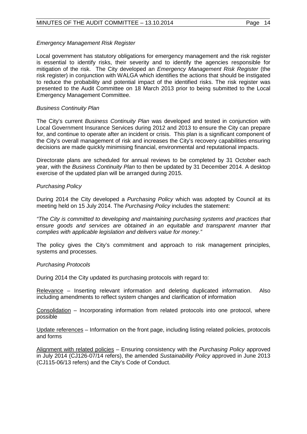## *Emergency Management Risk Register*

Local government has statutory obligations for emergency management and the risk register is essential to identify risks, their severity and to identify the agencies responsible for mitigation of the risk. The City developed an *Emergency Management Risk Register* (the risk register) in conjunction with WALGA which identifies the actions that should be instigated to reduce the probability and potential impact of the identified risks. The risk register was presented to the Audit Committee on 18 March 2013 prior to being submitted to the Local Emergency Management Committee.

## *Business Continuity Plan*

The City's current *Business Continuity Plan* was developed and tested in conjunction with Local Government Insurance Services during 2012 and 2013 to ensure the City can prepare for, and continue to operate after an incident or crisis. This plan is a significant component of the City's overall management of risk and increases the City's recovery capabilities ensuring decisions are made quickly minimising financial, environmental and reputational impacts.

Directorate plans are scheduled for annual reviews to be completed by 31 October each year, with the *Business Continuity Plan* to then be updated by 31 December 2014. A desktop exercise of the updated plan will be arranged during 2015.

## *Purchasing Policy*

During 2014 the City developed a *Purchasing Policy* which was adopted by Council at its meeting held on 15 July 2014. The *Purchasing Policy* includes the statement:

*"The City is committed to developing and maintaining purchasing systems and practices that ensure goods and services are obtained in an equitable and transparent manner that complies with applicable legislation and delivers value for money."*

The policy gives the City's commitment and approach to risk management principles, systems and processes.

## *Purchasing Protocols*

During 2014 the City updated its purchasing protocols with regard to:

Relevance – Inserting relevant information and deleting duplicated information. Also including amendments to reflect system changes and clarification of information

Consolidation – Incorporating information from related protocols into one protocol, where possible

Update references – Information on the front page, including listing related policies, protocols and forms

Alignment with related policies – Ensuring consistency with the *Purchasing Policy* approved in July 2014 (CJ126-07/14 refers), the amended *Sustainability Policy* approved in June 2013 (CJ115-06/13 refers) and the City's Code of Conduct.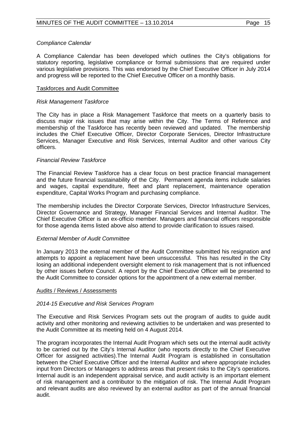## *Compliance Calendar*

A Compliance Calendar has been developed which outlines the City's obligations for statutory reporting, legislative compliance or formal submissions that are required under various legislative provisions. This was endorsed by the Chief Executive Officer in July 2014 and progress will be reported to the Chief Executive Officer on a monthly basis.

#### Taskforces and Audit Committee

#### *Risk Management Taskforce*

The City has in place a Risk Management Taskforce that meets on a quarterly basis to discuss major risk issues that may arise within the City. The Terms of Reference and membership of the Taskforce has recently been reviewed and updated. The membership includes the Chief Executive Officer, Director Corporate Services, Director Infrastructure Services, Manager Executive and Risk Services, Internal Auditor and other various City officers.

## *Financial Review Taskforce*

The Financial Review Taskforce has a clear focus on best practice financial management and the future financial sustainability of the City. Permanent agenda items include salaries and wages, capital expenditure, fleet and plant replacement, maintenance operation expenditure, Capital Works Program and purchasing compliance.

The membership includes the Director Corporate Services, Director Infrastructure Services, Director Governance and Strategy, Manager Financial Services and Internal Auditor. The Chief Executive Officer is an ex-officio member. Managers and financial officers responsible for those agenda items listed above also attend to provide clarification to issues raised.

#### *External Member of Audit Committee*

In January 2013 the external member of the Audit Committee submitted his resignation and attempts to appoint a replacement have been unsuccessful. This has resulted in the City losing an additional independent oversight element to risk management that is not influenced by other issues before Council. A report by the Chief Executive Officer will be presented to the Audit Committee to consider options for the appointment of a new external member.

#### Audits / Reviews / Assessments

## *2014-15 Executive and Risk Services Program*

The Executive and Risk Services Program sets out the program of audits to guide audit activity and other monitoring and reviewing activities to be undertaken and was presented to the Audit Committee at its meeting held on 4 August 2014.

The program incorporates the Internal Audit Program which sets out the internal audit activity to be carried out by the City's Internal Auditor (who reports directly to the Chief Executive Officer for assigned activities).The Internal Audit Program is established in consultation between the Chief Executive Officer and the Internal Auditor and where appropriate includes input from Directors or Managers to address areas that present risks to the City's operations. Internal audit is an independent appraisal service, and audit activity is an important element of risk management and a contributor to the mitigation of risk. The Internal Audit Program and relevant audits are also reviewed by an external auditor as part of the annual financial audit.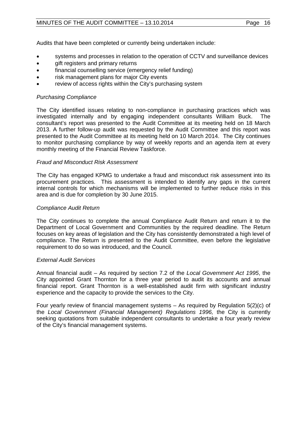Audits that have been completed or currently being undertaken include:

- systems and processes in relation to the operation of CCTV and surveillance devices
- gift registers and primary returns
- financial counselling service (emergency relief funding)
- risk management plans for major City events
- review of access rights within the City's purchasing system

## *Purchasing Compliance*

The City identified issues relating to non-compliance in purchasing practices which was investigated internally and by engaging independent consultants William Buck. The consultant's report was presented to the Audit Committee at its meeting held on 18 March 2013. A further follow-up audit was requested by the Audit Committee and this report was presented to the Audit Committee at its meeting held on 10 March 2014. The City continues to monitor purchasing compliance by way of weekly reports and an agenda item at every monthly meeting of the Financial Review Taskforce.

## *Fraud and Misconduct Risk Assessment*

The City has engaged KPMG to undertake a fraud and misconduct risk assessment into its procurement practices. This assessment is intended to identify any gaps in the current internal controls for which mechanisms will be implemented to further reduce risks in this area and is due for completion by 30 June 2015.

## *Compliance Audit Return*

The City continues to complete the annual Compliance Audit Return and return it to the Department of Local Government and Communities by the required deadline. The Return focuses on key areas of legislation and the City has consistently demonstrated a high level of compliance. The Return is presented to the Audit Committee, even before the legislative requirement to do so was introduced, and the Council.

## *External Audit Services*

Annual financial audit – As required by section 7.2 of the *Local Government Act 1995*, the City appointed Grant Thornton for a three year period to audit its accounts and annual financial report. Grant Thornton is a well-established audit firm with significant industry experience and the capacity to provide the services to the City.

Four yearly review of financial management systems – As required by Regulation 5(2)(c) of the *Local Government (Financial Management) Regulations 1996,* the City is currently seeking quotations from suitable independent consultants to undertake a four yearly review of the City's financial management systems.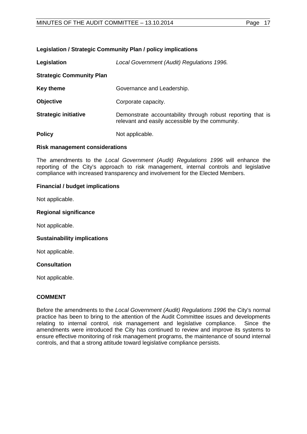## **Legislation / Strategic Community Plan / policy implications**

| Legislation                     | Local Government (Audit) Regulations 1996.                                                                      |  |  |
|---------------------------------|-----------------------------------------------------------------------------------------------------------------|--|--|
| <b>Strategic Community Plan</b> |                                                                                                                 |  |  |
| <b>Key theme</b>                | Governance and Leadership.                                                                                      |  |  |
| <b>Objective</b>                | Corporate capacity.                                                                                             |  |  |
| <b>Strategic initiative</b>     | Demonstrate accountability through robust reporting that is<br>relevant and easily accessible by the community. |  |  |
| <b>Policy</b>                   | Not applicable.                                                                                                 |  |  |

## **Risk management considerations**

The amendments to the *Local Government (Audit) Regulations 1996* will enhance the reporting of the City's approach to risk management, internal controls and legislative compliance with increased transparency and involvement for the Elected Members.

## **Financial / budget implications**

Not applicable.

#### **Regional significance**

Not applicable.

## **Sustainability implications**

Not applicable.

## **Consultation**

Not applicable.

## **COMMENT**

Before the amendments to the *Local Government (Audit) Regulations 1996* the City's normal practice has been to bring to the attention of the Audit Committee issues and developments relating to internal control, risk management and legislative compliance. Since the amendments were introduced the City has continued to review and improve its systems to ensure effective monitoring of risk management programs, the maintenance of sound internal controls, and that a strong attitude toward legislative compliance persists.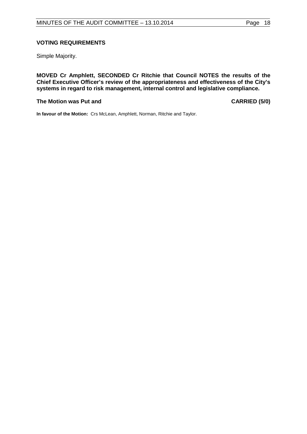# **VOTING REQUIREMENTS**

Simple Majority.

**MOVED Cr Amphlett, SECONDED Cr Ritchie that Council NOTES the results of the Chief Executive Officer's review of the appropriateness and effectiveness of the City's systems in regard to risk management, internal control and legislative compliance.**

#### **The Motion was Put and CARRIED (5/0)**

**In favour of the Motion:** Crs McLean, Amphlett, Norman, Ritchie and Taylor.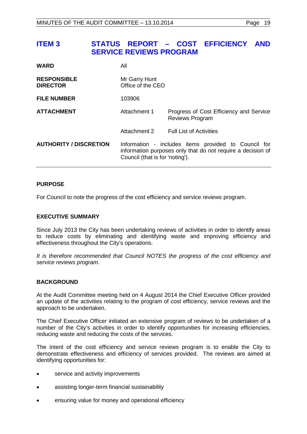# <span id="page-18-0"></span>**ITEM 3 STATUS REPORT – COST EFFICIENCY AND SERVICE REVIEWS PROGRAM**

| <b>WARD</b>                           | All                                |                                                                                                                     |  |  |
|---------------------------------------|------------------------------------|---------------------------------------------------------------------------------------------------------------------|--|--|
| <b>RESPONSIBLE</b><br><b>DIRECTOR</b> | Mr Garry Hunt<br>Office of the CEO |                                                                                                                     |  |  |
| <b>FILE NUMBER</b>                    | 103906                             |                                                                                                                     |  |  |
| <b>ATTACHMENT</b>                     | Attachment 1                       | Progress of Cost Efficiency and Service<br><b>Reviews Program</b>                                                   |  |  |
|                                       | Attachment 2                       | <b>Full List of Activities</b>                                                                                      |  |  |
| <b>AUTHORITY / DISCRETION</b>         | Council (that is for 'noting').    | Information - includes items provided to Council for<br>information purposes only that do not require a decision of |  |  |

## **PURPOSE**

For Council to note the progress of the cost efficiency and service reviews program.

## **EXECUTIVE SUMMARY**

Since July 2013 the City has been undertaking reviews of activities in order to identify areas to reduce costs by eliminating and identifying waste and improving efficiency and effectiveness throughout the City's operations.

*It is therefore recommended that Council NOTES the progress of the cost efficiency and service reviews program.*

## **BACKGROUND**

At the Audit Committee meeting held on 4 August 2014 the Chief Executive Officer provided an update of the activities relating to the program of cost efficiency, service reviews and the approach to be undertaken.

The Chief Executive Officer initiated an extensive program of reviews to be undertaken of a number of the City's activities in order to identify opportunities for increasing efficiencies, reducing waste and reducing the costs of the services.

The intent of the cost efficiency and service reviews program is to enable the City to demonstrate effectiveness and efficiency of services provided. The reviews are aimed at identifying opportunities for:

- service and activity improvements
- assisting longer-term financial sustainability
- ensuring value for money and operational efficiency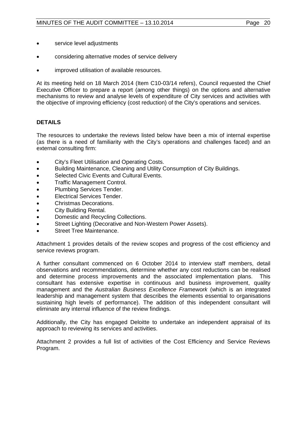- considering alternative modes of service delivery
- improved utilisation of available resources.

At its meeting held on 18 March 2014 (Item C10-03/14 refers), Council requested the Chief Executive Officer to prepare a report (among other things) on the options and alternative mechanisms to review and analyse levels of expenditure of City services and activities with the objective of improving efficiency (cost reduction) of the City's operations and services.

## **DETAILS**

The resources to undertake the reviews listed below have been a mix of internal expertise (as there is a need of familiarity with the City's operations and challenges faced) and an external consulting firm:

- City's Fleet Utilisation and Operating Costs.
- Building Maintenance, Cleaning and Utility Consumption of City Buildings.
- Selected Civic Events and Cultural Events.
- Traffic Management Control.
- Plumbing Services Tender.
- Electrical Services Tender.
- Christmas Decorations.
- City Building Rental.
- Domestic and Recycling Collections.
- Street Lighting (Decorative and Non-Western Power Assets).
- Street Tree Maintenance.

Attachment 1 provides details of the review scopes and progress of the cost efficiency and service reviews program.

A further consultant commenced on 6 October 2014 to interview staff members, detail observations and recommendations, determine whether any cost reductions can be realised and determine process improvements and the associated implementation plans. This consultant has extensive expertise in continuous and business improvement, quality management and the *Australian Business Excellence Framework* (which is an integrated leadership and management system that describes the elements essential to organisations sustaining high levels of performance). The addition of this independent consultant will eliminate any internal influence of the review findings.

Additionally, the City has engaged Deloitte to undertake an independent appraisal of its approach to reviewing its services and activities.

Attachment 2 provides a full list of activities of the Cost Efficiency and Service Reviews Program.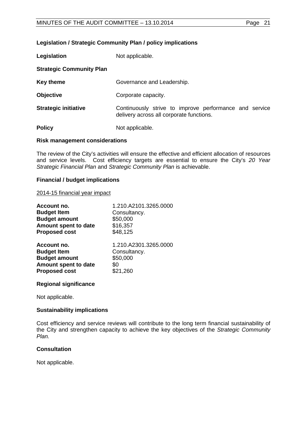## **Legislation / Strategic Community Plan / policy implications**

| Legislation                     | Not applicable.                                                                                    |  |  |  |
|---------------------------------|----------------------------------------------------------------------------------------------------|--|--|--|
| <b>Strategic Community Plan</b> |                                                                                                    |  |  |  |
| Key theme                       | Governance and Leadership.                                                                         |  |  |  |
| <b>Objective</b>                | Corporate capacity.                                                                                |  |  |  |
| <b>Strategic initiative</b>     | Continuously strive to improve performance and service<br>delivery across all corporate functions. |  |  |  |
| <b>Policy</b>                   | Not applicable.                                                                                    |  |  |  |

#### **Risk management considerations**

The review of the City's activities will ensure the effective and efficient allocation of resources and service levels. Cost efficiency targets are essential to ensure the City's *20 Year Strategic Financial Plan* and *Strategic Community Plan* is achievable.

#### **Financial / budget implications**

#### 2014-15 financial year impact

| Account no.          | 1.210.A2101.3265.0000 |
|----------------------|-----------------------|
| <b>Budget Item</b>   | Consultancy.          |
| <b>Budget amount</b> | \$50,000              |
| Amount spent to date | \$16,357              |
| <b>Proposed cost</b> | \$48,125              |
| Account no.          | 1.210.A2301.3265.0000 |
| <b>Budget Item</b>   | Consultancy.          |
| <b>Budget amount</b> | \$50,000              |
| Amount spent to date | \$0                   |
| <b>Proposed cost</b> | \$21,260              |

## **Regional significance**

Not applicable.

## **Sustainability implications**

Cost efficiency and service reviews will contribute to the long term financial sustainability of the City and strengthen capacity to achieve the key objectives of the *Strategic Community Plan.*

## **Consultation**

Not applicable.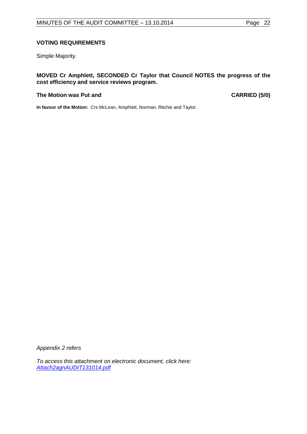## **VOTING REQUIREMENTS**

Simple Majority.

## **MOVED Cr Amphlett, SECONDED Cr Taylor that Council NOTES the progress of the cost efficiency and service reviews program.**

#### **The Motion was Put and CARRIED (5/0)**

**In favour of the Motion:** Crs McLean, Amphlett, Norman, Ritchie and Taylor.

*Appendix 2 refers*

*[To access this attachment on electronic document, click here:](http://www.joondalup.wa.gov.au/files/committees/AUDT/2014/Attach2agnAUDIT131014.pdf) Attach2agnAUDIT131014.pdf*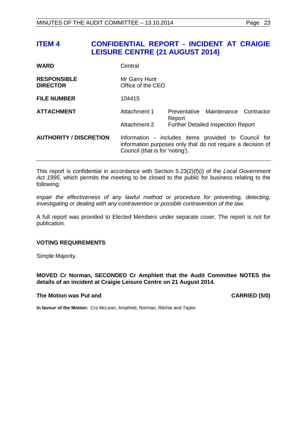<span id="page-22-0"></span>

| <b>WARD</b>                           | Central                                                                                                                                                |        |                                           |            |  |  |
|---------------------------------------|--------------------------------------------------------------------------------------------------------------------------------------------------------|--------|-------------------------------------------|------------|--|--|
| <b>RESPONSIBLE</b><br><b>DIRECTOR</b> | Mr Garry Hunt<br>Office of the CEO                                                                                                                     |        |                                           |            |  |  |
| <b>FILE NUMBER</b>                    | 104415                                                                                                                                                 |        |                                           |            |  |  |
| <b>ATTACHMENT</b>                     | Attachment 1                                                                                                                                           | Report | Preventative Maintenance                  | Contractor |  |  |
|                                       | Attachment 2                                                                                                                                           |        | <b>Further Detailed Inspection Report</b> |            |  |  |
| <b>AUTHORITY / DISCRETION</b>         | Information - includes items provided to Council for<br>information purposes only that do not require a decision of<br>Council (that is for 'noting'). |        |                                           |            |  |  |

This report is confidential in accordance with Section 5.23(2)(f)(i) of the *Local Government Act 1995*, which permits the meeting to be closed to the public for business relating to the following:

*impair the effectiveness of any lawful method or procedure for preventing, detecting, investigating or dealing with any contravention or possible contravention of the law.*

A full report was provided to Elected Members under separate cover. The report is not for publication.

## **VOTING REQUIREMENTS**

Simple Majority.

**MOVED Cr Norman, SECONDED Cr Amphlett that the Audit Committee NOTES the details of an incident at Craigie Leisure Centre on 21 August 2014.**

#### **The Motion was Put and CARRIED (5/0)**

**In favour of the Motion:** Crs McLean, Amphlett, Norman, Ritchie and Taylor.